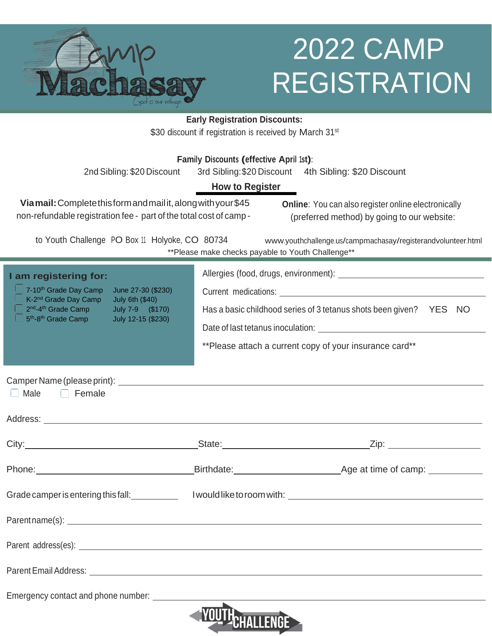

## 2022 CAMP REGISTRATION

**Early Registration Discounts:** \$30 discount if registration is received by March 31<sup>st</sup>

| \$30 discount if registration is received by March $31st$                                                                                                                                                                                                                                            |  |                                                                                                                                                                                                                                                                                                                                                                  |
|------------------------------------------------------------------------------------------------------------------------------------------------------------------------------------------------------------------------------------------------------------------------------------------------------|--|------------------------------------------------------------------------------------------------------------------------------------------------------------------------------------------------------------------------------------------------------------------------------------------------------------------------------------------------------------------|
| Family Discounts (effective April 1st):<br>2nd Sibling: \$20 Discount<br>3rd Sibling: \$20 Discount 4th Sibling: \$20 Discount<br><b>How to Register</b>                                                                                                                                             |  |                                                                                                                                                                                                                                                                                                                                                                  |
| Via mail: Complete this form and mail it, along with your \$45<br><b>Online:</b> You can also register online electronically<br>non-refundable registration fee - part of the total cost of camp -<br>(preferred method) by going to our website:                                                    |  |                                                                                                                                                                                                                                                                                                                                                                  |
| to Youth Challenge PO Box 11 Holyoke, CO 80734<br>www.youthchallenge.us/campmachasay/registerandvolunteer.html<br>** Please make checks payable to Youth Challenge**                                                                                                                                 |  |                                                                                                                                                                                                                                                                                                                                                                  |
| I am registering for:<br>7-10 <sup>th</sup> Grade Day Camp<br>June 27-30 (\$230)<br>$\Box$ K-2 <sup>nd</sup> Grade Day Camp<br><b>July 6th (\$40)</b><br>2 <sup>nd</sup> -4 <sup>th</sup> Grade Camp<br>July 7-9 (\$170)<br>$\Box$ 5 <sup>th</sup> -8 <sup>th</sup> Grade Camp<br>July 12-15 (\$230) |  | Current medications: University of the contract of the contract of the contract of the contract of the contract of the contract of the contract of the contract of the contract of the contract of the contract of the contrac<br>Has a basic childhood series of 3 tetanus shots been given? YES NO<br>** Please attach a current copy of your insurance card** |
| $\Box$ Male<br>$\Box$ Female                                                                                                                                                                                                                                                                         |  |                                                                                                                                                                                                                                                                                                                                                                  |
|                                                                                                                                                                                                                                                                                                      |  |                                                                                                                                                                                                                                                                                                                                                                  |
|                                                                                                                                                                                                                                                                                                      |  |                                                                                                                                                                                                                                                                                                                                                                  |
| Phone: <u>New York: Birthdate: Birthdate: Age at time of camp:</u>                                                                                                                                                                                                                                   |  |                                                                                                                                                                                                                                                                                                                                                                  |
| Grade camper is entering this fall: Nould like to room with: Not also be a series of the series of the series o                                                                                                                                                                                      |  |                                                                                                                                                                                                                                                                                                                                                                  |
|                                                                                                                                                                                                                                                                                                      |  |                                                                                                                                                                                                                                                                                                                                                                  |

Parent address(es):

Parent Email Address:

Emergency contact and phone number: